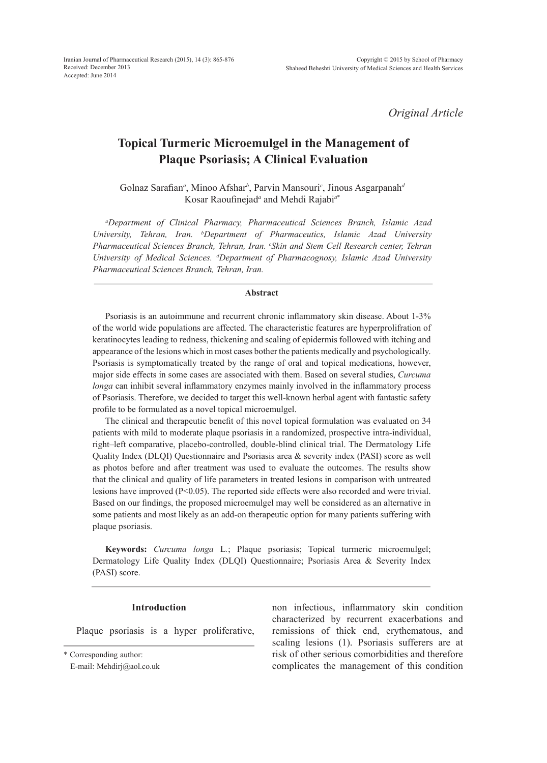*Original Article*

# **Topical Turmeric Microemulgel in the Management of Plaque Psoriasis; A Clinical Evaluation**

Golnaz Sarafian<sup>*a*</sup>, Minoo Afshar<sup>*b*</sup>, Parvin Mansouri<sup>*c*</sup>, Jinous Asgarpanah<sup>*a*</sup> Kosar Raoufinejad*<sup>a</sup>* and Mehdi Rajabi*<sup>a</sup>*\*

*a Department of Clinical Pharmacy, Pharmaceutical Sciences Branch, Islamic Azad University, Tehran, Iran. b Department of Pharmaceutics, Islamic Azad University Pharmaceutical Sciences Branch, Tehran, Iran. c Skin and Stem Cell Research center, Tehran University of Medical Sciences. d Department of Pharmacognosy, Islamic Azad University Pharmaceutical Sciences Branch, Tehran, Iran.*

# **Abstract**

Psoriasis is an autoimmune and recurrent chronic inflammatory skin disease. About 1-3% of the world wide populations are affected. The characteristic features are hyperprolifration of keratinocytes leading to redness, thickening and scaling of epidermis followed with itching and appearance of the lesions which in most cases bother the patients medically and psychologically. Psoriasis is symptomatically treated by the range of oral and topical medications, however, major side effects in some cases are associated with them. Based on several studies, *Curcuma longa* can inhibit several inflammatory enzymes mainly involved in the inflammatory process of Psoriasis. Therefore, we decided to target this well-known herbal agent with fantastic safety profile to be formulated as a novel topical microemulgel.

The clinical and therapeutic benefit of this novel topical formulation was evaluated on 34 patients with mild to moderate plaque psoriasis in a randomized, prospective intra-individual, right–left comparative, placebo-controlled, double-blind clinical trial. The Dermatology Life Quality Index (DLQI) Questionnaire and Psoriasis area & severity index (PASI) score as well as photos before and after treatment was used to evaluate the outcomes. The results show that the clinical and quality of life parameters in treated lesions in comparison with untreated lesions have improved (P<0.05). The reported side effects were also recorded and were trivial. Based on our findings, the proposed microemulgel may well be considered as an alternative in some patients and most likely as an add-on therapeutic option for many patients suffering with plaque psoriasis.

**Keywords:** *Curcuma longa* L*.*; Plaque psoriasis; Topical turmeric microemulgel; Dermatology Life Quality Index (DLQI) Questionnaire; Psoriasis Area & Severity Index (PASI) score.

### **Introduction**

Plaque psoriasis is a hyper proliferative,

\* Corresponding author:

E-mail: Mehdirj@aol.co.uk

non infectious, inflammatory skin condition characterized by recurrent exacerbations and remissions of thick end, erythematous, and scaling lesions (1). Psoriasis sufferers are at risk of other serious comorbidities and therefore complicates the management of this condition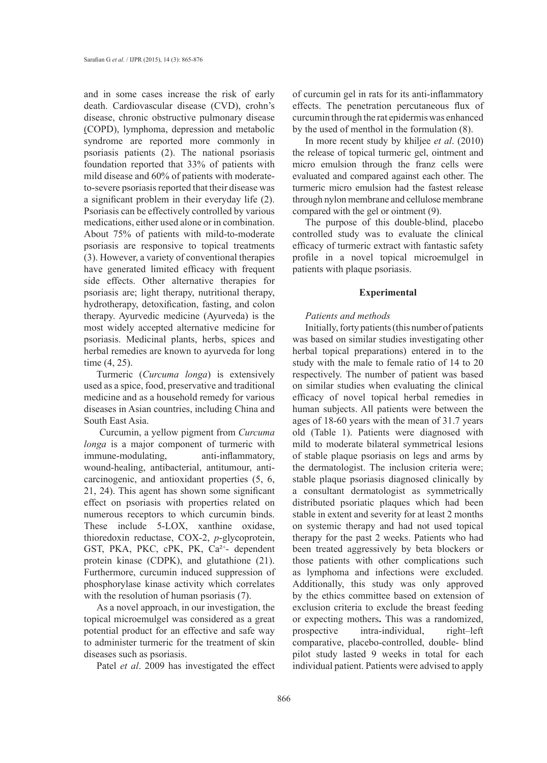and in some cases increase the risk of early death. Cardiovascular disease (CVD), crohn's disease, chronic obstructive pulmonary disease (COPD), lymphoma, depression and metabolic syndrome are reported more commonly in psoriasis patients (2). The national psoriasis foundation reported that 33% of patients with mild disease and 60% of patients with moderateto-severe psoriasis reported that their disease was a significant problem in their everyday life (2). Psoriasis can be effectively controlled by various medications, either used alone or in combination. About 75% of patients with mild-to-moderate psoriasis are responsive to topical treatments (3). However, a variety of conventional therapies have generated limited efficacy with frequent side effects. Other alternative therapies for psoriasis are; light therapy, nutritional therapy, hydrotherapy, detoxification, fasting, and colon therapy. Ayurvedic medicine (Ayurveda) is the most widely accepted alternative medicine for psoriasis. Medicinal plants, herbs, spices and herbal remedies are known to ayurveda for long time (4, 25).

Turmeric (*Curcuma longa*) is extensively used as a spice, food, preservative and traditional medicine and as a household remedy for various diseases in Asian countries, including China and South East Asia.

 Curcumin, a yellow pigment from *Curcuma longa* is a major component of turmeric with immune-modulating, anti-inflammatory, wound-healing, antibacterial, antitumour, anticarcinogenic, and antioxidant properties (5, 6, 21, 24). This agent has shown some significant effect on psoriasis with properties related on numerous receptors to which curcumin binds. These include 5-LOX, xanthine oxidase, thioredoxin reductase, COX-2, *p*-glycoprotein, GST, PKA, PKC, cPK, PK, Ca²<sup>+</sup> - dependent protein kinase (CDPK), and glutathione (21). Furthermore, curcumin induced suppression of phosphorylase kinase activity which correlates with the resolution of human psoriasis  $(7)$ .

As a novel approach, in our investigation, the topical microemulgel was considered as a great potential product for an effective and safe way to administer turmeric for the treatment of skin diseases such as psoriasis.

Patel *et al*. 2009 has investigated the effect

of curcumin gel in rats for its anti-inflammatory effects. The penetration percutaneous flux of curcumin through the rat epidermis was enhanced by the used of menthol in the formulation (8).

In more recent study by khiljee *et al*. (2010) the release of topical turmeric gel, ointment and micro emulsion through the franz cells were evaluated and compared against each other. The turmeric micro emulsion had the fastest release through nylon membrane and cellulose membrane compared with the gel or ointment (9).

The purpose of this double-blind, placebo controlled study was to evaluate the clinical efficacy of turmeric extract with fantastic safety profile in a novel topical microemulgel in patients with plaque psoriasis.

### **Experimental**

# *Patients and methods*

Initially, forty patients (this number of patients was based on similar studies investigating other herbal topical preparations) entered in to the study with the male to female ratio of 14 to 20 respectively. The number of patient was based on similar studies when evaluating the clinical efficacy of novel topical herbal remedies in human subjects. All patients were between the ages of 18-60 years with the mean of 31.7 years old (Table 1). Patients were diagnosed with mild to moderate bilateral symmetrical lesions of stable plaque psoriasis on legs and arms by the dermatologist. The inclusion criteria were; stable plaque psoriasis diagnosed clinically by a consultant dermatologist as symmetrically distributed psoriatic plaques which had been stable in extent and severity for at least 2 months on systemic therapy and had not used topical therapy for the past 2 weeks. Patients who had been treated aggressively by beta blockers or those patients with other complications such as lymphoma and infections were excluded. Additionally, this study was only approved by the ethics committee based on extension of exclusion criteria to exclude the breast feeding or expecting mothers**.** This was a randomized, prospective intra-individual, right–left comparative, placebo-controlled, double- blind pilot study lasted 9 weeks in total for each individual patient. Patients were advised to apply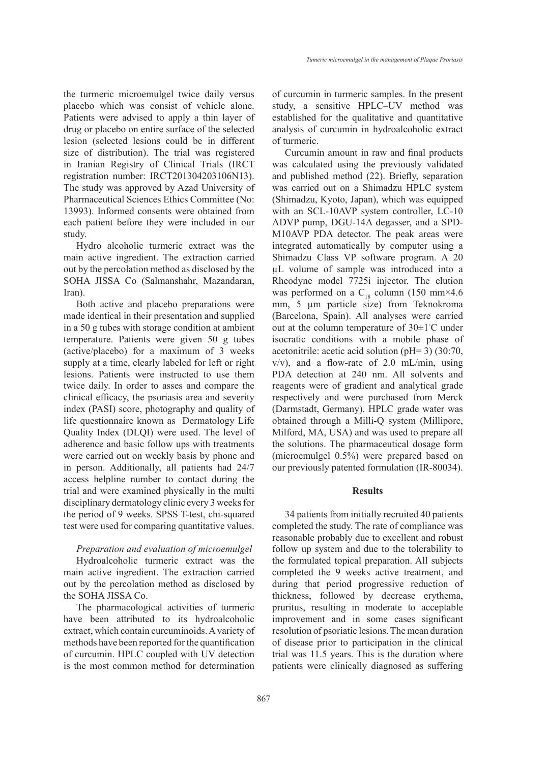the turmeric microemulgel twice daily versus placebo which was consist of vehicle alone. Patients were advised to apply a thin layer of drug or placebo on entire surface of the selected lesion (selected lesions could be in different size of distribution). The trial was registered in Iranian Registry of Clinical Trials (IRCT registration number: IRCT201304203106N13). The study was approved by Azad University of Pharmaceutical Sciences Ethics Committee (No: 13993). Informed consents were obtained from each patient before they were included in our study.

Hydro alcoholic turmeric extract was the main active ingredient. The extraction carried out by the percolation method as disclosed by the SOHA JISSA Co (Salmanshahr, Mazandaran, Iran).

Both active and placebo preparations were made identical in their presentation and supplied in a 50 g tubes with storage condition at ambient temperature. Patients were given 50 g tubes (active/placebo) for a maximum of 3 weeks supply at a time, clearly labeled for left or right lesions. Patients were instructed to use them twice daily. In order to asses and compare the clinical efficacy, the psoriasis area and severity index (PASI) score, photography and quality of life questionnaire known as Dermatology Life Quality Index (DLQI) were used. The level of adherence and basic follow ups with treatments were carried out on weekly basis by phone and in person. Additionally, all patients had 24/7 access helpline number to contact during the trial and were examined physically in the multi disciplinary dermatology clinic every 3 weeks for the period of 9 weeks. SPSS T-test, chi-squared test were used for comparing quantitative values.

### *Preparation and evaluation of microemulgel*

Hydroalcoholic turmeric extract was the main active ingredient. The extraction carried out by the percolation method as disclosed by the SOHA JISSA Co.

The pharmacological activities of turmeric have been attributed to its hydroalcoholic extract, which contain curcuminoids. A variety of methods have been reported for the quantification of curcumin. HPLC coupled with UV detection is the most common method for determination of curcumin in turmeric samples. In the present study, a sensitive HPLC–UV method was established for the qualitative and quantitative analysis of curcumin in hydroalcoholic extract of turmeric.

Curcumin amount in raw and final products was calculated using the previously validated and published method (22). Briefly, separation was carried out on a Shimadzu HPLC system (Shimadzu, Kyoto, Japan), which was equipped with an SCL-10AVP system controller, LC-10 ADVP pump, DGU-14A degasser, and a SPD-M10AVP PDA detector. The peak areas were integrated automatically by computer using a Shimadzu Class VP software program. A 20 µL volume of sample was introduced into a Rheodyne model 7725i injector. The elution was performed on a  $C_{18}$  column (150 mm×4.6) mm, 5  $\mu$ m particle size) from Teknokroma (Barcelona, Spain). All analyses were carried out at the column temperature of 30±1◦ C under isocratic conditions with a mobile phase of acetonitrile: acetic acid solution (pH= 3) (30:70, v/v), and a flow-rate of 2.0 mL/min, using PDA detection at 240 nm. All solvents and reagents were of gradient and analytical grade respectively and were purchased from Merck (Darmstadt, Germany). HPLC grade water was obtained through a Milli-Q system (Millipore, Milford, MA, USA) and was used to prepare all the solutions. The pharmaceutical dosage form (microemulgel 0.5%) were prepared based on our previously patented formulation (IR-80034).

### **Results**

34 patients from initially recruited 40 patients completed the study. The rate of compliance was reasonable probably due to excellent and robust follow up system and due to the tolerability to the formulated topical preparation. All subjects completed the 9 weeks active treatment, and during that period progressive reduction of thickness, followed by decrease erythema, pruritus, resulting in moderate to acceptable improvement and in some cases significant resolution of psoriatic lesions. The mean duration of disease prior to participation in the clinical trial was 11.5 years. This is the duration where patients were clinically diagnosed as suffering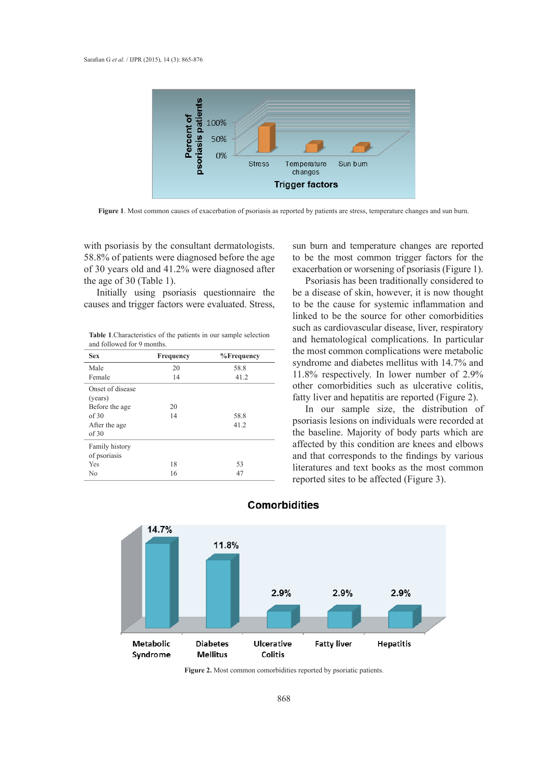

**Figure 1**. Most common causes of exacerbation of psoriasis as reported by patients are stress, temperature changes and sun burn.

with psoriasis by the consultant dermatologists. 58.8% of patients were diagnosed before the age of 30 years old and 41.2% were diagnosed after the age of 30 (Table 1).

Initially using psoriasis questionnaire the causes and trigger factors were evaluated. Stress,

**Table 1**.Characteristics of the patients in our sample selection and followed for 9 months.

| <b>Sex</b>                     | Frequency  | %Frequency |  |
|--------------------------------|------------|------------|--|
| Male                           | 20         | 58.8       |  |
| Female                         | 14         | 41.2       |  |
| Onset of disease<br>(years)    |            |            |  |
| Before the age                 | 20         |            |  |
| of 30                          | 14<br>58.8 |            |  |
| After the age<br>of 30         |            | 41.2       |  |
| Family history<br>of psoriasis |            |            |  |
| Yes                            | 18         | 53         |  |
| N <sub>0</sub>                 | 16         | 47         |  |

sun burn and temperature changes are reported to be the most common trigger factors for the exacerbation or worsening of psoriasis (Figure 1).

Psoriasis has been traditionally considered to be a disease of skin, however, it is now thought to be the cause for systemic inflammation and linked to be the source for other comorbidities such as cardiovascular disease, liver, respiratory and hematological complications. In particular the most common complications were metabolic syndrome and diabetes mellitus with 14.7% and 11.8% respectively. In lower number of 2.9% other comorbidities such as ulcerative colitis, fatty liver and hepatitis are reported (Figure 2).

In our sample size, the distribution of psoriasis lesions on individuals were recorded at the baseline. Majority of body parts which are affected by this condition are knees and elbows and that corresponds to the findings by various literatures and text books as the most common reported sites to be affected (Figure 3).



# **Comorbidities**

**Figure 2.** Most common comorbidities reported by psoriatic patients.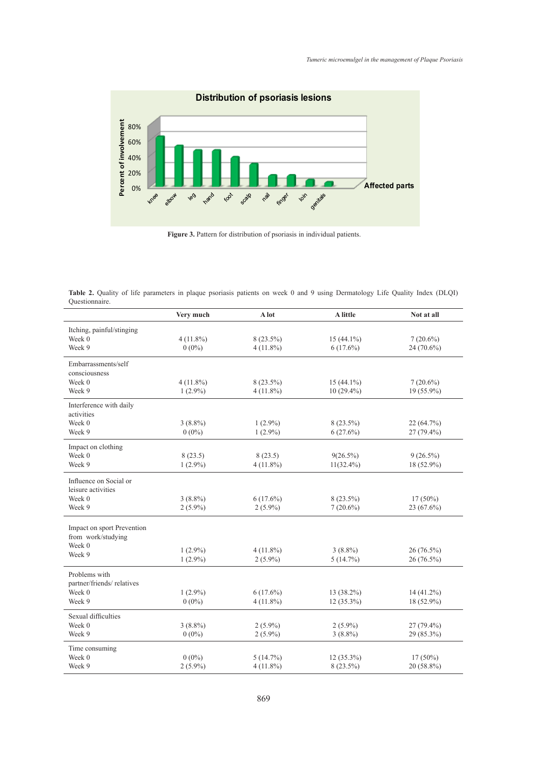

 **Figure 3.** Pattern for distribution of psoriasis in individual patients.

**Table 2.** Quality of life parameters in plaque psoriasis patients on week 0 and 9 using Dermatology Life Quality Index (DLQI) Questionnaire.

|                            | Very much   | A lot       | A little     | Not at all   |
|----------------------------|-------------|-------------|--------------|--------------|
| Itching, painful/stinging  |             |             |              |              |
| Week 0                     | $4(11.8\%)$ | $8(23.5\%)$ | $15(44.1\%)$ | $7(20.6\%)$  |
| Week 9                     | $0(0\%)$    | $4(11.8\%)$ | $6(17.6\%)$  | 24 (70.6%)   |
| Embarrassments/self        |             |             |              |              |
| consciousness              |             |             |              |              |
| Week 0                     | $4(11.8\%)$ | $8(23.5\%)$ | $15(44.1\%)$ | $7(20.6\%)$  |
| Week 9                     | $1(2.9\%)$  | $4(11.8\%)$ | $10(29.4\%)$ | $19(55.9\%)$ |
| Interference with daily    |             |             |              |              |
| activities                 |             |             |              |              |
| Week 0                     | $3(8.8\%)$  | $1(2.9\%)$  | $8(23.5\%)$  | 22 (64.7%)   |
| Week 9                     | $0(0\%)$    | $1(2.9\%)$  | 6(27.6%)     | $27(79.4\%)$ |
| Impact on clothing         |             |             |              |              |
| Week 0                     | 8(23.5)     | 8(23.5)     | $9(26.5\%)$  | $9(26.5\%)$  |
| Week 9                     | $1(2.9\%)$  | $4(11.8\%)$ | $11(32.4\%)$ | 18 (52.9%)   |
| Influence on Social or     |             |             |              |              |
| leisure activities         |             |             |              |              |
| Week 0                     | $3(8.8\%)$  | $6(17.6\%)$ | $8(23.5\%)$  | $17(50\%)$   |
| Week 9                     | $2(5.9\%)$  | $2(5.9\%)$  | $7(20.6\%)$  | $23(67.6\%)$ |
| Impact on sport Prevention |             |             |              |              |
| from work/studying         |             |             |              |              |
| Week 0                     |             |             |              |              |
| Week 9                     | $1(2.9\%)$  | $4(11.8\%)$ | $3(8.8\%)$   | $26(76.5\%)$ |
|                            | $1(2.9\%)$  | $2(5.9\%)$  | 5(14.7%)     | 26 (76.5%)   |
| Problems with              |             |             |              |              |
| partner/friends/ relatives |             |             |              |              |
| Week 0                     | $1(2.9\%)$  | $6(17.6\%)$ | $13(38.2\%)$ | 14 (41.2%)   |
| Week 9                     | $0(0\%)$    | $4(11.8\%)$ | $12(35.3\%)$ | 18 (52.9%)   |
| Sexual difficulties        |             |             |              |              |
| Week 0                     | $3(8.8\%)$  | $2(5.9\%)$  | $2(5.9\%)$   | 27 (79.4%)   |
| Week 9                     | $0(0\%)$    | $2(5.9\%)$  | $3(8.8\%)$   | 29 (85.3%)   |
| Time consuming             |             |             |              |              |
| Week 0                     | $0(0\%)$    | 5(14.7%)    | $12(35.3\%)$ | $17(50\%)$   |
| Week 9                     | $2(5.9\%)$  | $4(11.8\%)$ | $8(23.5\%)$  | 20 (58.8%)   |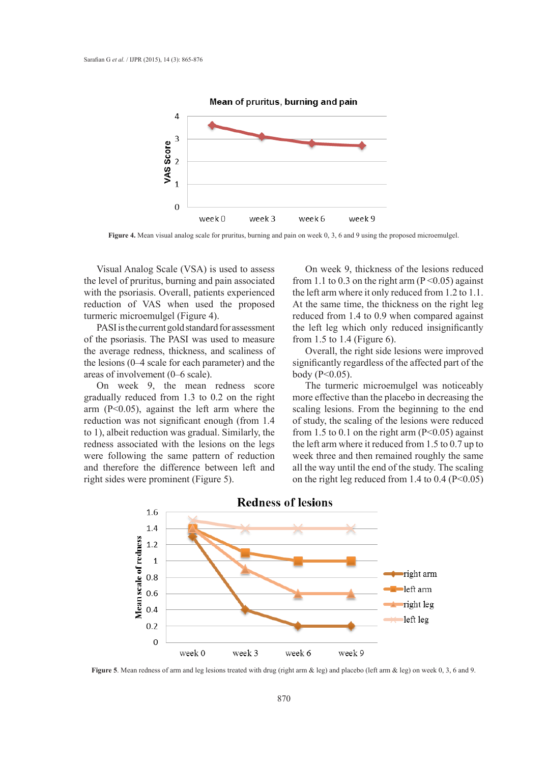

**Figure 4.** Mean visual analog scale for pruritus, burning and pain on week 0, 3, 6 and 9 using the proposed microemulgel.

Visual Analog Scale (VSA) is used to assess the level of pruritus, burning and pain associated with the psoriasis. Overall, patients experienced reduction of VAS when used the proposed turmeric microemulgel (Figure 4).

PASI is the current gold standard for assessment of the psoriasis. The PASI was used to measure the average redness, thickness, and scaliness of the lesions (0–4 scale for each parameter) and the areas of involvement (0–6 scale).

On week 9, the mean redness score gradually reduced from 1.3 to 0.2 on the right arm (P<0.05), against the left arm where the reduction was not significant enough (from 1.4 to 1), albeit reduction was gradual. Similarly, the redness associated with the lesions on the legs were following the same pattern of reduction and therefore the difference between left and right sides were prominent (Figure 5).

On week 9, thickness of the lesions reduced from 1.1 to 0.3 on the right arm  $(P<0.05)$  against the left arm where it only reduced from 1.2 to 1.1. At the same time, the thickness on the right leg reduced from 1.4 to 0.9 when compared against the left leg which only reduced insignificantly from 1.5 to 1.4 (Figure 6).

Overall, the right side lesions were improved significantly regardless of the affected part of the body (P<0.05).

The turmeric microemulgel was noticeably more effective than the placebo in decreasing the scaling lesions. From the beginning to the end of study, the scaling of the lesions were reduced from 1.5 to 0.1 on the right arm  $(P<0.05)$  against the left arm where it reduced from 1.5 to 0.7 up to week three and then remained roughly the same all the way until the end of the study. The scaling on the right leg reduced from 1.4 to  $0.4$  (P<0.05)



**Figure 5**. Mean redness of arm and leg lesions treated with drug (right arm & leg) and placebo (left arm & leg) on week 0, 3, 6 and 9.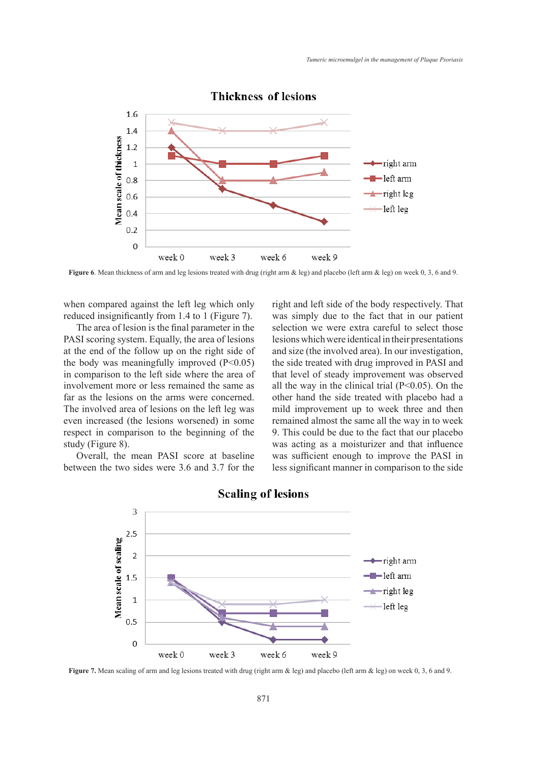

# **Thickness of lesions**

**Figure 6**. Mean thickness of arm and leg lesions treated with drug (right arm & leg) and placebo (left arm & leg) on week 0, 3, 6 and 9.

when compared against the left leg which only reduced insignificantly from 1.4 to 1 (Figure 7).

The area of lesion is the final parameter in the PASI scoring system. Equally, the area of lesions at the end of the follow up on the right side of the body was meaningfully improved  $(P<0.05)$ in comparison to the left side where the area of involvement more or less remained the same as far as the lesions on the arms were concerned. The involved area of lesions on the left leg was even increased (the lesions worsened) in some respect in comparison to the beginning of the study (Figure 8).

Overall, the mean PASI score at baseline between the two sides were 3.6 and 3.7 for the right and left side of the body respectively. That was simply due to the fact that in our patient selection we were extra careful to select those lesions which were identical in their presentations and size (the involved area). In our investigation, the side treated with drug improved in PASI and that level of steady improvement was observed all the way in the clinical trial  $(P<0.05)$ . On the other hand the side treated with placebo had a mild improvement up to week three and then remained almost the same all the way in to week 9. This could be due to the fact that our placebo was acting as a moisturizer and that influence was sufficient enough to improve the PASI in less significant manner in comparison to the side



# **Scaling of lesions**

**Figure 7.** Mean scaling of arm and leg lesions treated with drug (right arm & leg) and placebo (left arm & leg) on week 0, 3, 6 and 9.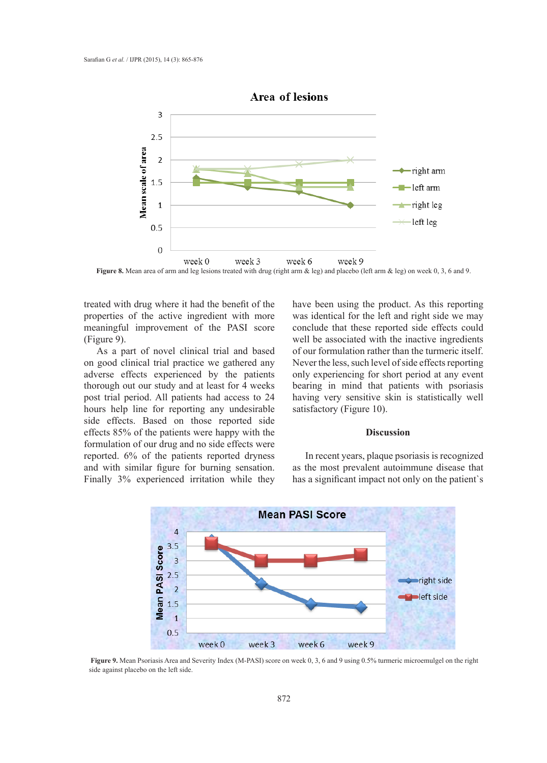

**Figure 8.** Mean area of arm and leg lesions treated with drug (right arm & leg) and placebo (left arm & leg) on week 0, 3, 6 and 9.

treated with drug where it had the benefit of the properties of the active ingredient with more meaningful improvement of the PASI score (Figure 9).

As a part of novel clinical trial and based on good clinical trial practice we gathered any adverse effects experienced by the patients thorough out our study and at least for 4 weeks post trial period. All patients had access to 24 hours help line for reporting any undesirable side effects. Based on those reported side effects 85% of the patients were happy with the formulation of our drug and no side effects were reported. 6% of the patients reported dryness and with similar figure for burning sensation. Finally 3% experienced irritation while they have been using the product. As this reporting was identical for the left and right side we may conclude that these reported side effects could well be associated with the inactive ingredients of our formulation rather than the turmeric itself. Never the less, such level of side effects reporting only experiencing for short period at any event bearing in mind that patients with psoriasis having very sensitive skin is statistically well satisfactory (Figure 10).

# **Discussion**

In recent years, plaque psoriasis is recognized as the most prevalent autoimmune disease that has a significant impact not only on the patient`s



**Figure 9.** Mean Psoriasis Area and Severity Index (M-PASI) score on week 0, 3, 6 and 9 using 0.5% turmeric microemulgel on the right side against placebo on the left side.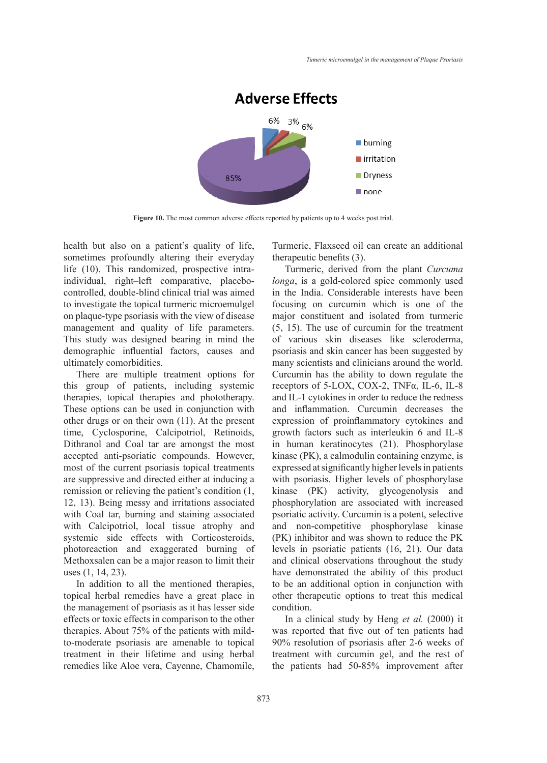

Figure 10. The most common adverse effects reported by patients up to 4 weeks post trial.

health but also on a patient's quality of life, sometimes profoundly altering their everyday life (10). This randomized, prospective intraindividual, right–left comparative, placebocontrolled, double-blind clinical trial was aimed to investigate the topical turmeric microemulgel on plaque-type psoriasis with the view of disease management and quality of life parameters. This study was designed bearing in mind the demographic influential factors, causes and ultimately comorbidities.

There are multiple treatment options for this group of patients, including systemic therapies, topical therapies and phototherapy. These options can be used in conjunction with other drugs or on their own (11). At the present time, Cyclosporine, Calcipotriol, Retinoids, Dithranol and Coal tar are amongst the most accepted anti-psoriatic compounds. However, most of the current psoriasis topical treatments are suppressive and directed either at inducing a remission or relieving the patient's condition (1, 12, 13). Being messy and irritations associated with Coal tar, burning and staining associated with Calcipotriol, local tissue atrophy and systemic side effects with Corticosteroids, photoreaction and exaggerated burning of Methoxsalen can be a major reason to limit their uses (1, 14, 23).

In addition to all the mentioned therapies, topical herbal remedies have a great place in the management of psoriasis as it has lesser side effects or toxic effects in comparison to the other therapies. About 75% of the patients with mildto-moderate psoriasis are amenable to topical treatment in their lifetime and using herbal remedies like Aloe vera, Cayenne, Chamomile, Turmeric, Flaxseed oil can create an additional therapeutic benefits (3).

Turmeric, derived from the plant *Curcuma longa*, is a gold-colored spice commonly used in the India. Considerable interests have been focusing on curcumin which is one of the major constituent and isolated from turmeric (5, 15). The use of curcumin for the treatment of various skin diseases like scleroderma, psoriasis and skin cancer has been suggested by many scientists and clinicians around the world. Curcumin has the ability to down regulate the receptors of 5-LOX, COX-2, TNFα, IL-6, IL-8 and IL-1 cytokines in order to reduce the redness and inflammation. Curcumin decreases the expression of proinflammatory cytokines and growth factors such as interleukin 6 and IL-8 in human keratinocytes (21). Phosphorylase kinase (PK), a calmodulin containing enzyme, is expressed at significantly higher levels in patients with psoriasis. Higher levels of phosphorylase kinase (PK) activity, glycogenolysis and phosphorylation are associated with increased psoriatic activity. Curcumin is a potent, selective and non-competitive phosphorylase kinase (PK) inhibitor and was shown to reduce the PK levels in psoriatic patients (16, 21). Our data and clinical observations throughout the study have demonstrated the ability of this product to be an additional option in conjunction with other therapeutic options to treat this medical condition.

In a clinical study by Heng *et al.* (2000) it was reported that five out of ten patients had 90% resolution of psoriasis after 2-6 weeks of treatment with curcumin gel, and the rest of the patients had 50-85% improvement after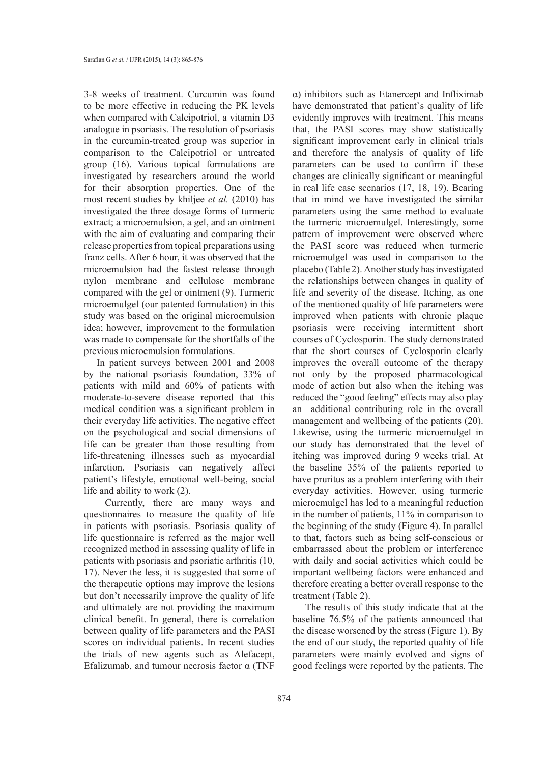3-8 weeks of treatment. Curcumin was found to be more effective in reducing the PK levels when compared with Calcipotriol, a vitamin D3 analogue in psoriasis. The resolution of psoriasis in the curcumin-treated group was superior in comparison to the Calcipotriol or untreated group (16). Various topical formulations are investigated by researchers around the world for their absorption properties. One of the most recent studies by khiljee *et al.* (2010) has investigated the three dosage forms of turmeric extract; a microemulsion, a gel, and an ointment with the aim of evaluating and comparing their release properties from topical preparations using franz cells. After 6 hour, it was observed that the microemulsion had the fastest release through nylon membrane and cellulose membrane compared with the gel or ointment (9). Turmeric microemulgel (our patented formulation) in this study was based on the original microemulsion idea; however, improvement to the formulation was made to compensate for the shortfalls of the previous microemulsion formulations.

In patient surveys between 2001 and 2008 by the national psoriasis foundation, 33% of patients with mild and 60% of patients with moderate-to-severe disease reported that this medical condition was a significant problem in their everyday life activities. The negative effect on the psychological and social dimensions of life can be greater than those resulting from life-threatening illnesses such as myocardial infarction. Psoriasis can negatively affect patient's lifestyle, emotional well-being, social life and ability to work (2).

 Currently, there are many ways and questionnaires to measure the quality of life in patients with psoriasis. Psoriasis quality of life questionnaire is referred as the major well recognized method in assessing quality of life in patients with psoriasis and psoriatic arthritis (10, 17). Never the less, it is suggested that some of the therapeutic options may improve the lesions but don't necessarily improve the quality of life and ultimately are not providing the maximum clinical benefit. In general, there is correlation between quality of life parameters and the PASI scores on individual patients. In recent studies the trials of new agents such as Alefacept, Efalizumab, and tumour necrosis factor  $\alpha$  (TNF

α) inhibitors such as Etanercept and Infliximab have demonstrated that patient`s quality of life evidently improves with treatment. This means that, the PASI scores may show statistically significant improvement early in clinical trials and therefore the analysis of quality of life parameters can be used to confirm if these changes are clinically significant or meaningful in real life case scenarios (17, 18, 19). Bearing that in mind we have investigated the similar parameters using the same method to evaluate the turmeric microemulgel. Interestingly, some pattern of improvement were observed where the PASI score was reduced when turmeric microemulgel was used in comparison to the placebo (Table 2). Another study has investigated the relationships between changes in quality of life and severity of the disease. Itching, as one of the mentioned quality of life parameters were improved when patients with chronic plaque psoriasis were receiving intermittent short courses of Cyclosporin. The study demonstrated that the short courses of Cyclosporin clearly improves the overall outcome of the therapy not only by the proposed pharmacological mode of action but also when the itching was reduced the "good feeling" effects may also play an additional contributing role in the overall management and wellbeing of the patients (20). Likewise, using the turmeric microemulgel in our study has demonstrated that the level of itching was improved during 9 weeks trial. At the baseline 35% of the patients reported to have pruritus as a problem interfering with their everyday activities. However, using turmeric microemulgel has led to a meaningful reduction in the number of patients, 11% in comparison to the beginning of the study (Figure 4). In parallel to that, factors such as being self-conscious or embarrassed about the problem or interference with daily and social activities which could be important wellbeing factors were enhanced and therefore creating a better overall response to the treatment (Table 2).

The results of this study indicate that at the baseline 76.5% of the patients announced that the disease worsened by the stress (Figure 1). By the end of our study, the reported quality of life parameters were mainly evolved and signs of good feelings were reported by the patients. The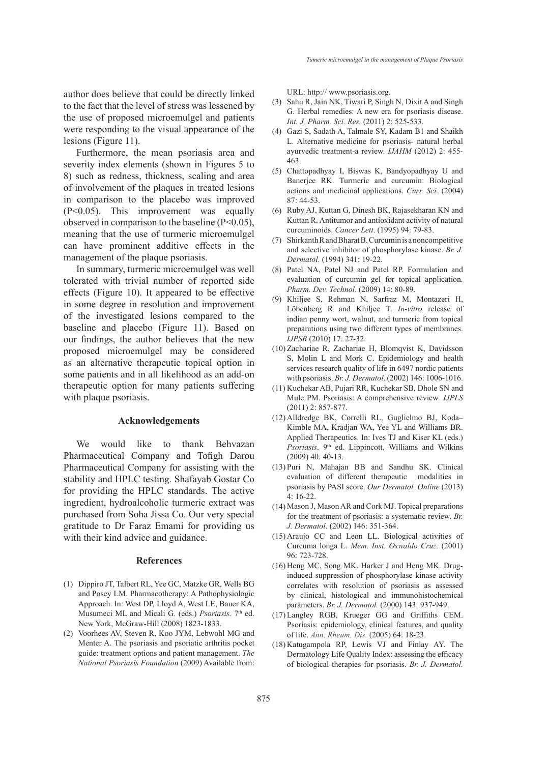author does believe that could be directly linked to the fact that the level of stress was lessened by the use of proposed microemulgel and patients were responding to the visual appearance of the lesions (Figure 11).

Furthermore, the mean psoriasis area and severity index elements (shown in Figures 5 to 8) such as redness, thickness, scaling and area of involvement of the plaques in treated lesions in comparison to the placebo was improved (P<0.05). This improvement was equally observed in comparison to the baseline (P<0.05), meaning that the use of turmeric microemulgel can have prominent additive effects in the management of the plaque psoriasis.

In summary, turmeric microemulgel was well tolerated with trivial number of reported side effects (Figure 10). It appeared to be effective in some degree in resolution and improvement of the investigated lesions compared to the baseline and placebo (Figure 11). Based on our findings, the author believes that the new proposed microemulgel may be considered as an alternative therapeutic topical option in some patients and in all likelihood as an add-on therapeutic option for many patients suffering with plaque psoriasis.

### **Acknowledgements**

We would like to thank Behvazan Pharmaceutical Company and Tofigh Darou Pharmaceutical Company for assisting with the stability and HPLC testing. Shafayab Gostar Co for providing the HPLC standards. The active ingredient, hydroalcoholic turmeric extract was purchased from Soha Jissa Co. Our very special gratitude to Dr Faraz Emami for providing us with their kind advice and guidance.

#### **References**

- (1) Dippiro JT, Talbert RL, Yee GC, Matzke GR, Wells BG and Posey LM. Pharmacotherapy: A Pathophysiologic Approach. In: West DP, Lloyd A, West LE, Bauer KA, Musumeci ML and Micali G. (eds.) *Psoriasis*. 7<sup>th</sup> ed. New York, McGraw-Hill (2008) 1823-1833.
- (2) Voorhees AV, Steven R, Koo JYM, Lebwohl MG and Menter A. The psoriasis and psoriatic arthritis pocket guide: treatment options and patient management. *The National Psoriasis Foundation* (2009) Available from:

URL: http:// www.psoriasis.org.

- Sahu R, Jain NK, Tiwari P, Singh N, Dixit A and Singh G. Herbal remedies: A new era for psoriasis disease. *Int. J. Pharm. Sci. Res.* (2011) 2: 525-533. (3)
- Gazi S, Sadath A, Talmale SY, Kadam B1 and Shaikh (4) L. Alternative medicine for psoriasis- natural herbal ayurvedic treatment-a review. *IJAHM* (2012) 2: 455- 463.
- Chattopadhyay I, Biswas K, Bandyopadhyay U and (5) Banerjee RK. Turmeric and curcumin: Biological actions and medicinal applications. *Curr. Sci.* (2004) 87: 44-53.
- (6) Ruby AJ, Kuttan G, Dinesh BK, Rajasekharan KN and Kuttan R. Antitumor and antioxidant activity of natural curcuminoids. *Cancer Lett*. (1995) 94: 79-83.
- Shirkanth R and Bharat B. Curcumin is a noncompetitive (7) and selective inhibitor of phosphorylase kinase. *Br. J. Dermatol.* (1994) 341: 19-22.
- Patel NA, Patel NJ and Patel RP. Formulation and (8) evaluation of curcumin gel for topical application*. Pharm. Dev. Technol.* (2009) 14: 80-89.
- (9) Khiljee S, Rehman N, Sarfraz M, Montazeri H, Löbenberg R and Khiljee T. *In-vitro* release of indian penny wort, walnut, and turmeric from topical preparations using two different types of membranes. *IJPSR* (2010) 17: 27-32.
- (10) Zachariae R, Zachariae H, Blomqvist K, Davidsson S, Molin L and Mork C. Epidemiology and health services research quality of life in 6497 nordic patients with psoriasis. *Br. J. Dermatol*. (2002) 146: 1006-1016.
- (11) Kuchekar AB, Pujari RR, Kuchekar SB, Dhole SN and Mule PM. Psoriasis: A comprehensive review*. IJPLS* (2011) 2: 857-877.
- Alldredge BK, Correlli RL, Guglielmo BJ, Koda– (12) Kimble MA, Kradjan WA, Yee YL and Williams BR. Applied Therapeutics. In: Ives TJ and Kiser KL (eds.) *Psoriasis*. 9th ed. Lippincott, Williams and Wilkins (2009) 40: 40-13.
- (13) Puri N, Mahajan BB and Sandhu SK. Clinical evaluation of different therapeutic modalities in psoriasis by PASI score. *Our Dermatol. Online* (2013) 4: 16-22.
- (14) Mason J, Mason AR and Cork MJ. Topical preparations for the treatment of psoriasis: a systematic review. *Br. J. Dermatol*. (2002) 146: 351-364.
- $(15)$  Araujo CC and Leon LL. Biological activities of Curcuma longa L. *Mem. Inst. Oswaldo Cruz.* (2001) 96: 723-728.
- (16) Heng MC, Song MK, Harker J and Heng MK. Druginduced suppression of phosphorylase kinase activity correlates with resolution of psoriasis as assessed by clinical, histological and immunohistochemical parameters. *Br. J. Dermatol.* (2000) 143: 937-949.
- Langley RGB, Krueger GG and Griffiths CEM. (17) Psoriasis: epidemiology, clinical features, and quality of life. *Ann. Rheum. Dis.* (2005) 64: 18-23.
- (18) Katugampola RP, Lewis VJ and Finlay AY. The Dermatology Life Quality Index: assessing the efficacy of biological therapies for psoriasis. *Br. J. Dermatol.*